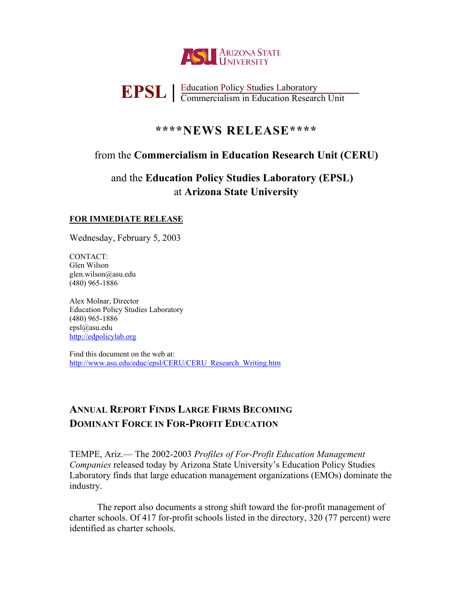

# **EPSL** | Education Policy Studies Laboratory<br>
Commercialism in Education Research Unit

## **\*\*\*\*NEWS RELEASE\*\*\*\***

## from the **Commercialism in Education Research Unit (CERU)**

# and the **Education Policy Studies Laboratory (EPSL)**  at **Arizona State University**

## **FOR IMMEDIATE RELEASE**

Wednesday, February 5, 2003

CONTACT: Glen Wilson glen.wilson@asu.edu (480) 965-1886

Alex Molnar, Director Education Policy Studies Laboratory (480) 965-1886 epsl@asu.edu [http://edpolicylab.org](http://edpolicylab.org/)

Find this document on the web at: [http://www.asu.edu/educ/epsl/CERU/CERU\\_Research\\_Writing.htm](http://www.asu.edu/educ/epsl/CERU/CERU_Research_Writing.htm)

# **ANNUAL REPORT FINDS LARGE FIRMS BECOMING DOMINANT FORCE IN FOR-PROFIT EDUCATION**

TEMPE, Ariz.— The 2002-2003 *Profiles of For-Profit Education Management Companies* released today by Arizona State University's Education Policy Studies Laboratory finds that large education management organizations (EMOs) dominate the industry.

The report also documents a strong shift toward the for-profit management of charter schools. Of 417 for-profit schools listed in the directory, 320 (77 percent) were identified as charter schools.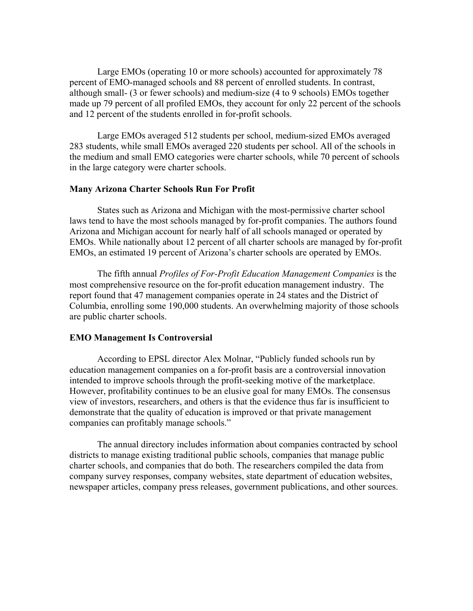Large EMOs (operating 10 or more schools) accounted for approximately 78 percent of EMO-managed schools and 88 percent of enrolled students. In contrast, although small- (3 or fewer schools) and medium-size (4 to 9 schools) EMOs together made up 79 percent of all profiled EMOs, they account for only 22 percent of the schools and 12 percent of the students enrolled in for-profit schools.

Large EMOs averaged 512 students per school, medium-sized EMOs averaged 283 students, while small EMOs averaged 220 students per school. All of the schools in the medium and small EMO categories were charter schools, while 70 percent of schools in the large category were charter schools.

### **Many Arizona Charter Schools Run For Profit**

States such as Arizona and Michigan with the most-permissive charter school laws tend to have the most schools managed by for-profit companies. The authors found Arizona and Michigan account for nearly half of all schools managed or operated by EMOs. While nationally about 12 percent of all charter schools are managed by for-profit EMOs, an estimated 19 percent of Arizona's charter schools are operated by EMOs.

The fifth annual *Profiles of For-Profit Education Management Companies* is the most comprehensive resource on the for-profit education management industry. The report found that 47 management companies operate in 24 states and the District of Columbia, enrolling some 190,000 students. An overwhelming majority of those schools are public charter schools.

#### **EMO Management Is Controversial**

According to EPSL director Alex Molnar, "Publicly funded schools run by education management companies on a for-profit basis are a controversial innovation intended to improve schools through the profit-seeking motive of the marketplace. However, profitability continues to be an elusive goal for many EMOs. The consensus view of investors, researchers, and others is that the evidence thus far is insufficient to demonstrate that the quality of education is improved or that private management companies can profitably manage schools."

The annual directory includes information about companies contracted by school districts to manage existing traditional public schools, companies that manage public charter schools, and companies that do both. The researchers compiled the data from company survey responses, company websites, state department of education websites, newspaper articles, company press releases, government publications, and other sources.